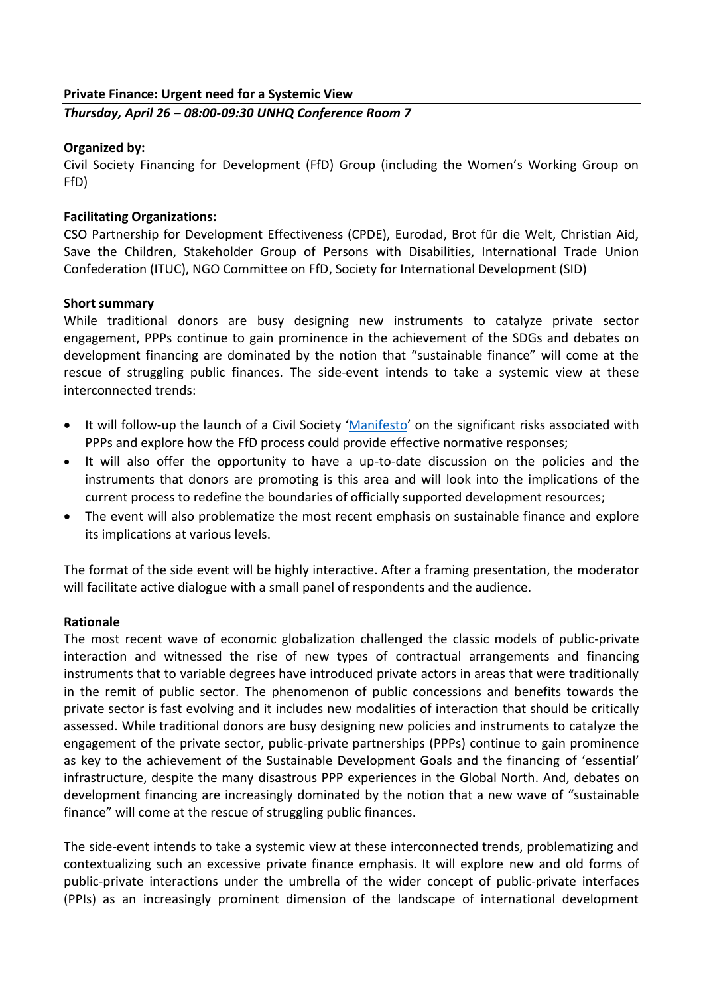### **Private Finance: Urgent need for a Systemic View**

*Thursday, April 26 – 08:00-09:30 UNHQ Conference Room 7*

# **Organized by:**

Civil Society Financing for Development (FfD) Group (including the Women's Working Group on FfD)

# **Facilitating Organizations:**

CSO Partnership for Development Effectiveness (CPDE), Eurodad, Brot für die Welt, Christian Aid, Save the Children, Stakeholder Group of Persons with Disabilities, International Trade Union Confederation (ITUC), NGO Committee on FfD, Society for International Development (SID)

#### **Short summary**

While traditional donors are busy designing new instruments to catalyze private sector engagement, PPPs continue to gain prominence in the achievement of the SDGs and debates on development financing are dominated by the notion that "sustainable finance" will come at the rescue of struggling public finances. The side-event intends to take a systemic view at these interconnected trends:

- It will follow-up the launch of a Civil Society '[Manifesto](http://www.eurodad.org/files/pdf/1546821-world-bank-must-stop-promoting-dangerous-public-private-partnerships-1510908938.pdf)' on the significant risks associated with PPPs and explore how the FfD process could provide effective normative responses;
- It will also offer the opportunity to have a up-to-date discussion on the policies and the instruments that donors are promoting is this area and will look into the implications of the current process to redefine the boundaries of officially supported development resources;
- The event will also problematize the most recent emphasis on sustainable finance and explore its implications at various levels.

The format of the side event will be highly interactive. After a framing presentation, the moderator will facilitate active dialogue with a small panel of respondents and the audience.

#### **Rationale**

The most recent wave of economic globalization challenged the classic models of public-private interaction and witnessed the rise of new types of contractual arrangements and financing instruments that to variable degrees have introduced private actors in areas that were traditionally in the remit of public sector. The phenomenon of public concessions and benefits towards the private sector is fast evolving and it includes new modalities of interaction that should be critically assessed. While traditional donors are busy designing new policies and instruments to catalyze the engagement of the private sector, public-private partnerships (PPPs) continue to gain prominence as key to the achievement of the Sustainable Development Goals and the financing of 'essential' infrastructure, despite the many disastrous PPP experiences in the Global North. And, debates on development financing are increasingly dominated by the notion that a new wave of "sustainable finance" will come at the rescue of struggling public finances.

The side-event intends to take a systemic view at these interconnected trends, problematizing and contextualizing such an excessive private finance emphasis. It will explore new and old forms of public-private interactions under the umbrella of the wider concept of public-private interfaces (PPIs) as an increasingly prominent dimension of the landscape of international development